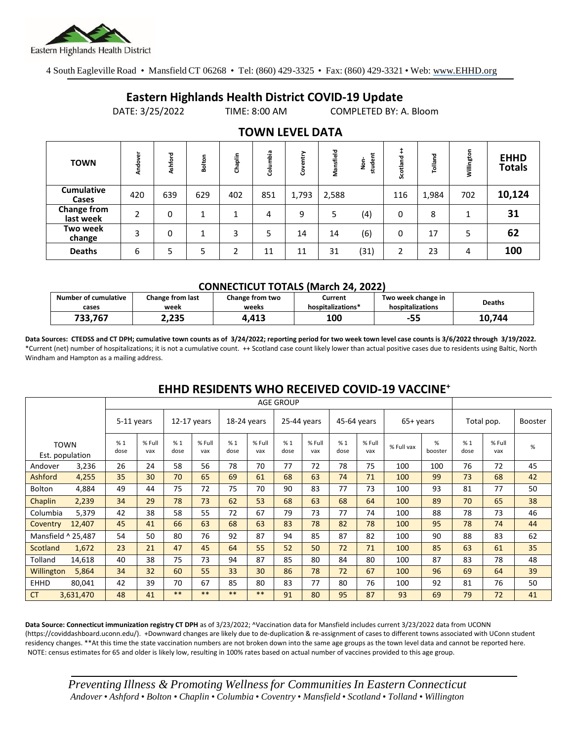

4 South Eagleville Road • Mansfield CT 06268 • Tel: (860) 429-3325 • Fax: (860) 429-3321 • Web: www.EHHD.org

## **Eastern Highlands Health District COVID-19 Update**

DATE: 3/25/2022 TIME: 8:00 AM COMPLETED BY: A. Bloom

| <b>TOWN</b>                     | Andover | shford<br>ď | Bolton | Chaplin | Columbia | entry<br>8 | Mansfield | student<br>ġ | Scotland | Tolland | Willington | <b>EHHD</b><br><b>Totals</b> |
|---------------------------------|---------|-------------|--------|---------|----------|------------|-----------|--------------|----------|---------|------------|------------------------------|
| <b>Cumulative</b><br>Cases      | 420     | 639         | 629    | 402     | 851      | 1,793      | 2,588     |              | 116      | 1,984   | 702        | 10,124                       |
| <b>Change from</b><br>last week | C       | 0           | 1      | 1       | 4        | 9          | 5         | (4)          | 0        | 8       | 1          | 31                           |
| <b>Two week</b><br>change       | 3       | 0           | 1      | 3       | 5        | 14         | 14        | (6)          | 0        | 17      | 5          | 62                           |
| <b>Deaths</b>                   | 6       | 5           | 5      | ว       | 11       | 11         | 31        | (31)         | 2        | 23      | 4          | 100                          |

### **TOWN LEVEL DATA**

#### **CONNECTICUT TOTALS (March 24, 2022)**

| <b>Number of cumulative</b> | <b>Change from last</b> | Change from two | Current           | Two week change in | <b>Deaths</b> |
|-----------------------------|-------------------------|-----------------|-------------------|--------------------|---------------|
| cases                       | week                    | weeks           | hospitalizations* | hospitalizations   |               |
| 733.767                     | 2,235                   | 1.413           | 100               | -55                | 10.744        |

**Data Sources: CTEDSS and CT DPH; cumulative town counts as of 3/24/2022; reporting period for two week town level case counts is 3/6/2022 through 3/19/2022.** \*Current (net) number of hospitalizations; it is not a cumulative count. ++ Scotland case count likely lower than actual positive cases due to residents using Baltic, North Windham and Hampton as a mailing address.

|               |                                | <b>AGE GROUP</b> |               |             |               |             |               |             |               |             |               |            |              |            |               |         |
|---------------|--------------------------------|------------------|---------------|-------------|---------------|-------------|---------------|-------------|---------------|-------------|---------------|------------|--------------|------------|---------------|---------|
|               |                                | 5-11 years       |               | 12-17 years |               | 18-24 years |               | 25-44 years |               | 45-64 years |               | 65+ years  |              | Total pop. |               | Booster |
|               | <b>TOWN</b><br>Est. population | %1<br>dose       | % Full<br>vax | %1<br>dose  | % Full<br>vax | %1<br>dose  | % Full<br>vax | %1<br>dose  | % Full<br>vax | %1<br>dose  | % Full<br>vax | % Full vax | %<br>booster | %1<br>dose | % Full<br>vax | %       |
| Andover       | 3,236                          | 26               | 24            | 58          | 56            | 78          | 70            | 77          | 72            | 78          | 75            | 100        | 100          | 76         | 72            | 45      |
| Ashford       | 4,255                          | 35               | 30            | 70          | 65            | 69          | 61            | 68          | 63            | 74          | 71            | 100        | 99           | 73         | 68            | 42      |
| <b>Bolton</b> | 4,884                          | 49               | 44            | 75          | 72            | 75          | 70            | 90          | 83            | 77          | 73            | 100        | 93           | 81         | 77            | 50      |
| Chaplin       | 2,239                          | 34               | 29            | 78          | 73            | 62          | 53            | 68          | 63            | 68          | 64            | 100        | 89           | 70         | 65            | 38      |
| Columbia      | 5,379                          | 42               | 38            | 58          | 55            | 72          | 67            | 79          | 73            | 77          | 74            | 100        | 88           | 78         | 73            | 46      |
| Coventry      | 12,407                         | 45               | 41            | 66          | 63            | 68          | 63            | 83          | 78            | 82          | 78            | 100        | 95           | 78         | 74            | 44      |
|               | Mansfield ^ 25,487             | 54               | 50            | 80          | 76            | 92          | 87            | 94          | 85            | 87          | 82            | 100        | 90           | 88         | 83            | 62      |
| Scotland      | 1,672                          | 23               | 21            | 47          | 45            | 64          | 55            | 52          | 50            | 72          | 71            | 100        | 85           | 63         | 61            | 35      |
| Tolland       | 14,618                         | 40               | 38            | 75          | 73            | 94          | 87            | 85          | 80            | 84          | 80            | 100        | 87           | 83         | 78            | 48      |
| Willington    | 5,864                          | 34               | 32            | 60          | 55            | 33          | 30            | 86          | 78            | 72          | 67            | 100        | 96           | 69         | 64            | 39      |
| <b>EHHD</b>   | 80,041                         | 42               | 39            | 70          | 67            | 85          | 80            | 83          | 77            | 80          | 76            | 100        | 92           | 81         | 76            | 50      |
| <b>CT</b>     | 3,631,470                      | 48               | 41            | $***$       | $***$         | $***$       | $***$         | 91          | 80            | 95          | 87            | 93         | 69           | 79         | 72            | 41      |

## **EHHD RESIDENTS WHO RECEIVED COVID-19 VACCINE<sup>+</sup>**

**Data Source: Connecticut immunization registry CT DPH** as of 3/23/2022; ^Vaccination data for Mansfield includes current 3/23/2022 data from UCONN (https://coviddashboard.uconn.edu/). +Downward changes are likely due to de-duplication & re-assignment of cases to different towns associated with UConn student residency changes. \*\*At this time the state vaccination numbers are not broken down into the same age groups as the town level data and cannot be reported here. NOTE: census estimates for 65 and older is likely low, resulting in 100% rates based on actual number of vaccines provided to this age group.

*Preventing Illness & Promoting Wellnessfor Communities In Eastern Connecticut* Andover • Ashford • Bolton • Chaplin • Columbia • Coventry • Mansfield • Scotland • Tolland • Willington